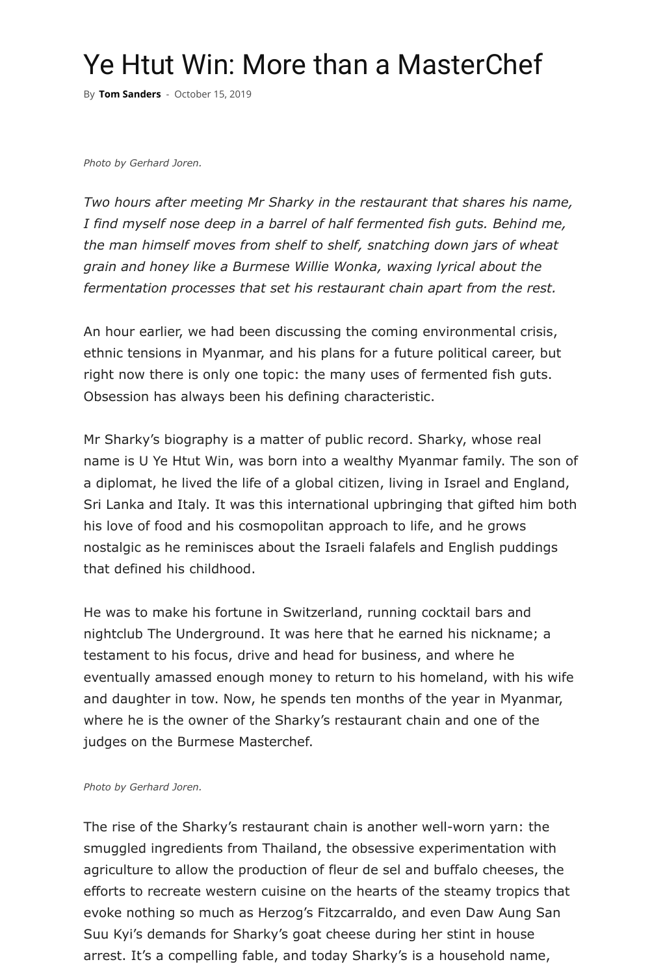*Two hours after meeting Mr Sharky in the restaurant that shares his name, I f[ind myself](https://www.myanmore.com/author/tomsanders/) nose deep in a barrel of half fermented fish guts. Behind me, the man himself moves from shelf to shelf, snatching down jars of wheat grain and honey like a Burmese Willie Wonka, waxing lyrical about the fermentation processes that set his restaurant chain apart from the rest.*

An hour earlier, we had been discussing the coming environmental crisis, ethnic tensions in Myanmar, and his plans for a future political career, but right now there is only one topic: the many uses of fermented fish guts. Obsession has always been his defining characteristic.

Mr Sharky's biography is a matter of public record. Sharky, whose real name is U Ye Htut Win, was born into a wealthy Myanmar family. The son of a diplomat, he lived the life of a global citizen, living in Israel and England, Sri Lanka and Italy. It was this international upbringing that gifted him both his love of food and his cosmopolitan approach to life, and he grows nostalgic as he reminisces about the Israeli falafels and English puddings that defined his childhood.

He was to make his fortune in Switzerland, running cocktail bars and nightclub The Underground. It was here that he earned his nickname; a testament to his focus, drive and head for business, and where he eventually amassed enough money to return to his homeland, with his wife and daughter in tow. Now, he spends ten months of the year in Myanmar, where he is the owner of the Sharky's restaurant chain and one of the judges on the Burmese Masterchef.

### *Photo by Gerhard Joren.*

The rise of the Sharky's restaurant chain is another well-worn yarn: the smuggled ingredients from Thailand, the obsessive experimentation with agriculture to allow the production of fleur de sel and buffalo cheeses, the efforts to recreate western cuisine on the hearts of the steamy tropics that evoke nothing so much as Herzog's Fitzcarraldo, and even Daw Aung San Suu Kyi's demands for Sharky's goat cheese during her stint in house arrest. It's a compelling fable, and today Sharky's is a household name,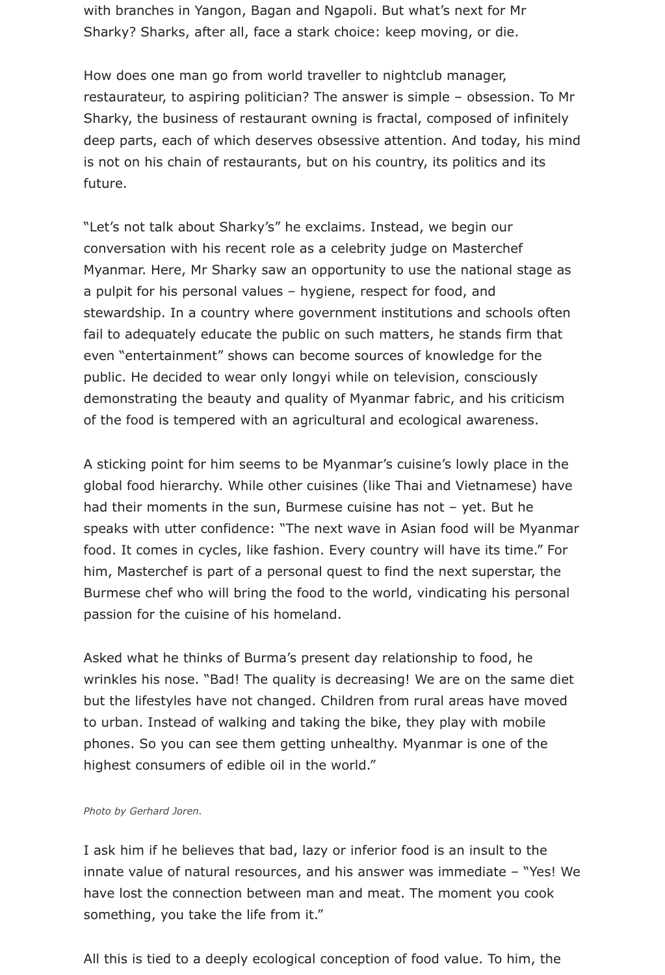with branches in Yangon, Bagan and Ngapoli. But what's next for Mr Sharky? Sharks, after all, face a stark choice: keep moving, or die.

How does one man go from world traveller to nightclub manager, restaurateur, to aspiring politician? The answer is simple – obsession. To Mr Sharky, the business of restaurant owning is fractal, composed of infinitely deep parts, each of which deserves obsessive attention. And today, his mind is not on his chain of restaurants, but on his country, its politics and its future.

"Let's not talk about Sharky's" he exclaims. Instead, we begin our conversation with his recent role as a celebrity judge on Masterchef Myanmar. Here, Mr Sharky saw an opportunity to use the national stage as a pulpit for his personal values – hygiene, respect for food, and stewardship. In a country where government institutions and schools often fail to adequately educate the public on such matters, he stands firm that even "entertainment" shows can become sources of knowledge for the public. He decided to wear only longyi while on television, consciously demonstrating the beauty and quality of Myanmar fabric, and his criticism of the food is tempered with an agricultural and ecological awareness.

A sticking point for him seems to be Myanmar's cuisine's lowly place in the global food hierarchy. While other cuisines (like Thai and Vietnamese) have had their moments in the sun, Burmese cuisine has not – yet. But he speaks with utter confidence: "The next wave in Asian food will be Myanmar food. It comes in cycles, like fashion. Every country will have its time." For him, Masterchef is part of a personal quest to find the next superstar, the Burmese chef who will bring the food to the world, vindicating his personal passion for the cuisine of his homeland.

Asked what he thinks of Burma's present day relationship to food, he wrinkles his nose. "Bad! The quality is decreasing! We are on the same diet but the lifestyles have not changed. Children from rural areas have moved to urban. Instead of walking and taking the bike, they play with mobile phones. So you can see them getting unhealthy. Myanmar is one of the highest consumers of edible oil in the world."

#### *Photo by Gerhard Joren.*

I ask him if he believes that bad, lazy or inferior food is an insult to the innate value of natural resources, and his answer was immediate – "Yes! We have lost the connection between man and meat. The moment you cook something, you take the life from it."

All this is tied to a deeply ecological conception of food value. To him, the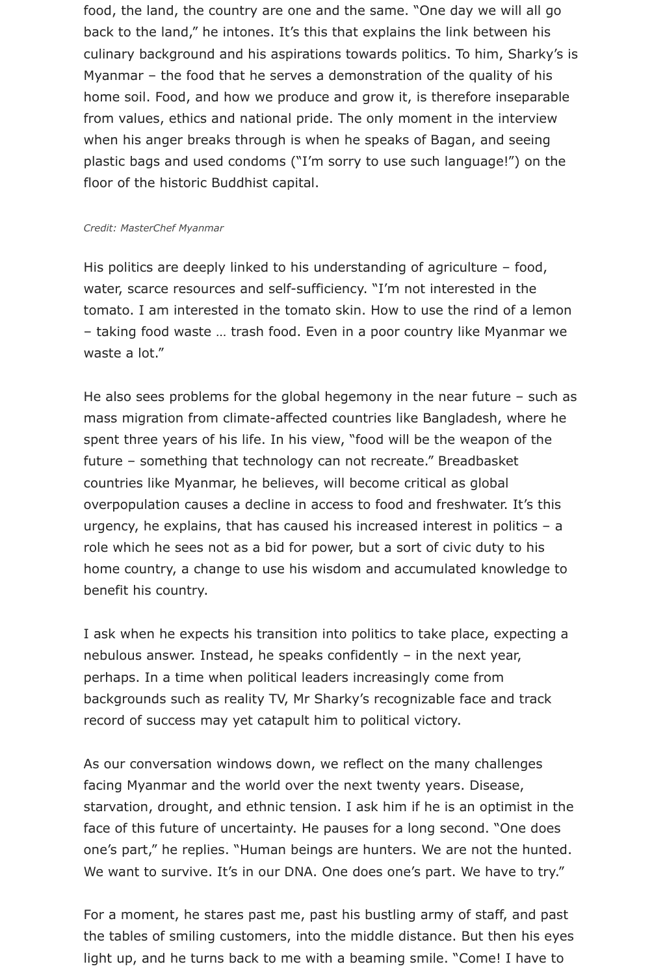food, the land, the country are one and the same. "One day we will all go back to the land," he intones. It's this that explains the link between his culinary background and his aspirations towards politics. To him, Sharky's is Myanmar – the food that he serves a demonstration of the quality of his home soil. Food, and how we produce and grow it, is therefore inseparable from values, ethics and national pride. The only moment in the interview when his anger breaks through is when he speaks of Bagan, and seeing plastic bags and used condoms ("I'm sorry to use such language!") on the floor of the historic Buddhist capital.

#### *Credit: MasterChef Myanmar*

His politics are deeply linked to his understanding of agriculture - food, water, scarce resources and self-sufficiency. "I'm not interested in the tomato. I am interested in the tomato skin. How to use the rind of a lemon – taking food waste … trash food. Even in a poor country like Myanmar we waste a lot."

He also sees problems for the global hegemony in the near future – such as mass migration from climate-affected countries like Bangladesh, where he spent three years of his life. In his view, "food will be the weapon of the future – something that technology can not recreate." Breadbasket countries like Myanmar, he believes, will become critical as global overpopulation causes a decline in access to food and freshwater. It's this urgency, he explains, that has caused his increased interest in politics – a role which he sees not as a bid for power, but a sort of civic duty to his home country, a change to use his wisdom and accumulated knowledge to benefit his country.

I ask when he expects his transition into politics to take place, expecting a nebulous answer. Instead, he speaks confidently – in the next year, perhaps. In a time when political leaders increasingly come from backgrounds such as reality TV, Mr Sharky's recognizable face and track record of success may yet catapult him to political victory.

As our conversation windows down, we reflect on the many challenges facing Myanmar and the world over the next twenty years. Disease, starvation, drought, and ethnic tension. I ask him if he is an optimist in the face of this future of uncertainty. He pauses for a long second. "One does one's part," he replies. "Human beings are hunters. We are not the hunted. We want to survive. It's in our DNA. One does one's part. We have to try."

For a moment, he stares past me, past his bustling army of staff, and past the tables of smiling customers, into the middle distance. But then his eyes light up, and he turns back to me with a beaming smile. "Come! I have to